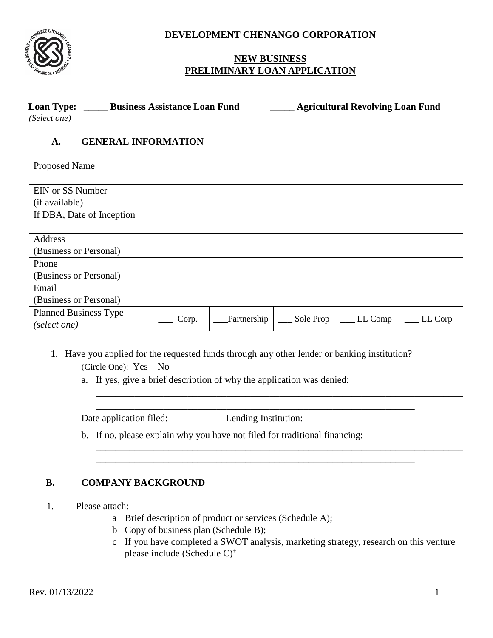

**DEVELOPMENT CHENANGO CORPORATION** 

## **NEW BUSINESS PRELIMINARY LOAN APPLICATION**

| <b>Loan Type:</b> | <b>Business Assistance Loan Fund</b> | <b>Agricultural Revolving Loan Fund</b> |
|-------------------|--------------------------------------|-----------------------------------------|
| (Select one)      |                                      |                                         |

#### **A. GENERAL INFORMATION**

| <b>Proposed Name</b>         |       |             |           |         |         |
|------------------------------|-------|-------------|-----------|---------|---------|
| <b>EIN or SS Number</b>      |       |             |           |         |         |
| (if available)               |       |             |           |         |         |
| If DBA, Date of Inception    |       |             |           |         |         |
|                              |       |             |           |         |         |
| <b>Address</b>               |       |             |           |         |         |
| (Business or Personal)       |       |             |           |         |         |
| Phone                        |       |             |           |         |         |
| (Business or Personal)       |       |             |           |         |         |
| Email                        |       |             |           |         |         |
| (Business or Personal)       |       |             |           |         |         |
| <b>Planned Business Type</b> |       |             |           |         |         |
| (select one)                 | Corp. | Partnership | Sole Prop | LL Comp | LL Corp |

- 1. Have you applied for the requested funds through any other lender or banking institution? (Circle One): Yes No
	- a. If yes, give a brief description of why the application was denied:

Date application filed: \_\_\_\_\_\_\_\_\_\_\_ Lending Institution: \_\_\_\_\_\_\_\_\_\_\_\_\_\_\_\_\_\_\_\_\_\_\_\_\_\_\_

b. If no, please explain why you have not filed for traditional financing:

### **B. COMPANY BACKGROUND**

- 1. Please attach:
	- a Brief description of product or services (Schedule A);
	- b Copy of business plan (Schedule B);
	- c If you have completed a SWOT analysis, marketing strategy, research on this venture please include (Schedule C) +

\_\_\_\_\_\_\_\_\_\_\_\_\_\_\_\_\_\_\_\_\_\_\_\_\_\_\_\_\_\_\_\_\_\_\_\_\_\_\_\_\_\_\_\_\_\_\_\_\_\_\_\_\_\_\_\_\_\_\_\_\_\_\_\_\_\_\_\_\_\_\_\_\_\_\_\_

\_\_\_\_\_\_\_\_\_\_\_\_\_\_\_\_\_\_\_\_\_\_\_\_\_\_\_\_\_\_\_\_\_\_\_\_\_\_\_\_\_\_\_\_\_\_\_\_\_\_\_\_\_\_\_\_\_\_\_\_\_\_\_\_\_\_\_\_\_\_\_\_\_\_\_\_

\_\_\_\_\_\_\_\_\_\_\_\_\_\_\_\_\_\_\_\_\_\_\_\_\_\_\_\_\_\_\_\_\_\_\_\_\_\_\_\_\_\_\_\_\_\_\_\_\_\_\_\_\_\_\_\_\_\_\_\_\_\_\_\_\_\_

\_\_\_\_\_\_\_\_\_\_\_\_\_\_\_\_\_\_\_\_\_\_\_\_\_\_\_\_\_\_\_\_\_\_\_\_\_\_\_\_\_\_\_\_\_\_\_\_\_\_\_\_\_\_\_\_\_\_\_\_\_\_\_\_\_\_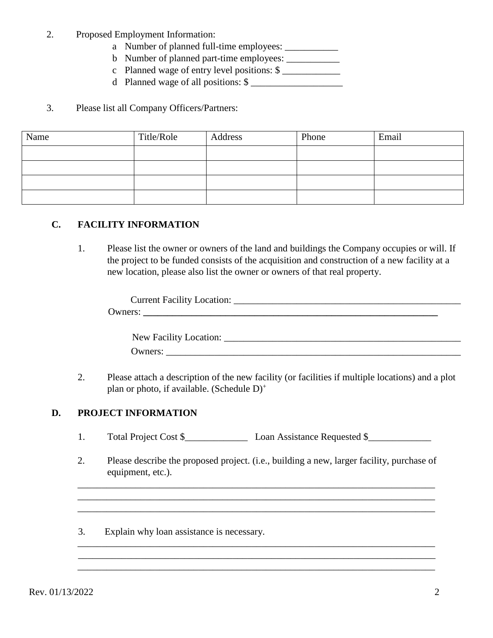- 2. Proposed Employment Information:
	- a Number of planned full-time employees: \_\_\_\_\_\_\_\_\_\_\_
	- b Number of planned part-time employees: \_\_\_\_\_\_\_\_\_\_\_
	- c Planned wage of entry level positions: \$
	- d Planned wage of all positions:  $\$

#### 3. Please list all Company Officers/Partners:

| Name | Title/Role | Address | Phone | Email |
|------|------------|---------|-------|-------|
|      |            |         |       |       |
|      |            |         |       |       |
|      |            |         |       |       |
|      |            |         |       |       |

#### **C. FACILITY INFORMATION**

1. Please list the owner or owners of the land and buildings the Company occupies or will. If the project to be funded consists of the acquisition and construction of a new facility at a new location, please also list the owner or owners of that real property.

| <b>Current Facility Location:</b> |  |
|-----------------------------------|--|
| Jwners:                           |  |
|                                   |  |

| New Facility Location: |  |
|------------------------|--|
| Owners:                |  |

2. Please attach a description of the new facility (or facilities if multiple locations) and a plot plan or photo, if available. (Schedule D)<sup>+</sup>

### **D. PROJECT INFORMATION**

- 1. Total Project Cost \$\_\_\_\_\_\_\_\_\_\_\_\_\_Loan Assistance Requested \$\_\_\_\_\_\_\_\_\_\_\_\_\_
- 2. Please describe the proposed project. (i.e., building a new, larger facility, purchase of equipment, etc.).

\_\_\_\_\_\_\_\_\_\_\_\_\_\_\_\_\_\_\_\_\_\_\_\_\_\_\_\_\_\_\_\_\_\_\_\_\_\_\_\_\_\_\_\_\_\_\_\_\_\_\_\_\_\_\_\_\_\_\_\_\_\_\_\_\_\_\_\_\_\_\_\_\_\_ \_\_\_\_\_\_\_\_\_\_\_\_\_\_\_\_\_\_\_\_\_\_\_\_\_\_\_\_\_\_\_\_\_\_\_\_\_\_\_\_\_\_\_\_\_\_\_\_\_\_\_\_\_\_\_\_\_\_\_\_\_\_\_\_\_\_\_\_\_\_\_\_\_\_ \_\_\_\_\_\_\_\_\_\_\_\_\_\_\_\_\_\_\_\_\_\_\_\_\_\_\_\_\_\_\_\_\_\_\_\_\_\_\_\_\_\_\_\_\_\_\_\_\_\_\_\_\_\_\_\_\_\_\_\_\_\_\_\_\_\_\_\_\_\_\_\_\_\_

\_\_\_\_\_\_\_\_\_\_\_\_\_\_\_\_\_\_\_\_\_\_\_\_\_\_\_\_\_\_\_\_\_\_\_\_\_\_\_\_\_\_\_\_\_\_\_\_\_\_\_\_\_\_\_\_\_\_\_\_\_\_\_\_\_\_\_\_\_\_\_\_\_\_

\_\_\_\_\_\_\_\_\_\_\_\_\_\_\_\_\_\_\_\_\_\_\_\_\_\_\_\_\_\_\_\_\_\_\_\_\_\_\_\_\_\_\_\_\_\_\_\_\_\_\_\_\_\_\_\_\_\_\_\_\_\_\_\_\_\_\_\_\_\_\_\_\_\_

3. Explain why loan assistance is necessary.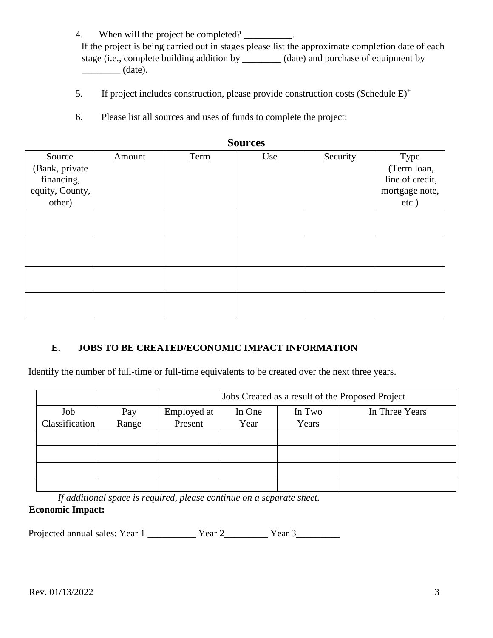4. When will the project be completed?

If the project is being carried out in stages please list the approximate completion date of each stage (i.e., complete building addition by \_\_\_\_\_\_\_\_ (date) and purchase of equipment by  $\qquad \qquad$  (date).

- 5. If project includes construction, please provide construction costs (Schedule E)+
- 6. Please list all sources and uses of funds to complete the project:

| <b>Dources</b>  |               |      |     |          |                 |  |  |
|-----------------|---------------|------|-----|----------|-----------------|--|--|
| Source          | <b>Amount</b> | Term | Use | Security | <b>Type</b>     |  |  |
| (Bank, private  |               |      |     |          | (Term loan,     |  |  |
| financing,      |               |      |     |          | line of credit, |  |  |
| equity, County, |               |      |     |          | mortgage note,  |  |  |
| other)          |               |      |     |          | $etc.$ )        |  |  |
|                 |               |      |     |          |                 |  |  |
|                 |               |      |     |          |                 |  |  |
|                 |               |      |     |          |                 |  |  |
|                 |               |      |     |          |                 |  |  |
|                 |               |      |     |          |                 |  |  |
|                 |               |      |     |          |                 |  |  |
|                 |               |      |     |          |                 |  |  |
|                 |               |      |     |          |                 |  |  |
|                 |               |      |     |          |                 |  |  |
|                 |               |      |     |          |                 |  |  |

**Sources** 

# **E. JOBS TO BE CREATED/ECONOMIC IMPACT INFORMATION**

Identify the number of full-time or full-time equivalents to be created over the next three years.

|                |       |             | Jobs Created as a result of the Proposed Project |        |                |  |
|----------------|-------|-------------|--------------------------------------------------|--------|----------------|--|
| Job            | Pay   | Employed at | In One                                           | In Two | In Three Years |  |
| Classification | Range | Present     | <u>Year</u>                                      | Years  |                |  |
|                |       |             |                                                  |        |                |  |
|                |       |             |                                                  |        |                |  |
|                |       |             |                                                  |        |                |  |
|                |       |             |                                                  |        |                |  |

*If additional space is required, please continue on a separate sheet.*  **Economic Impact:** 

Projected annual sales: Year 1 \_\_\_\_\_\_\_\_\_\_\_ Year 2 \_\_\_\_\_\_\_\_\_ Year 3\_\_\_\_\_\_\_\_\_\_\_\_\_\_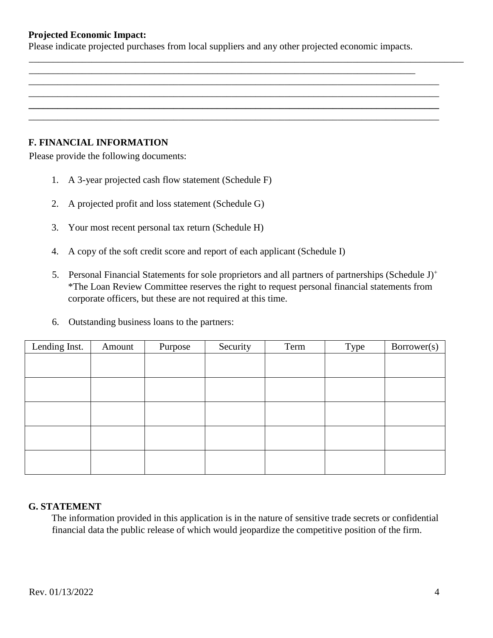#### **Projected Economic Impact:**

Please indicate projected purchases from local suppliers and any other projected economic impacts.

\_\_\_\_\_\_\_\_\_\_\_\_\_\_\_\_\_\_\_\_\_\_\_\_\_\_\_\_\_\_\_\_\_\_\_\_\_\_\_\_\_\_\_\_\_\_\_\_\_\_\_\_\_\_\_\_\_\_\_\_\_\_\_\_\_\_\_\_\_\_\_\_\_\_\_\_\_\_\_\_

\_\_\_\_\_\_\_\_\_\_\_\_\_\_\_\_\_\_\_\_\_\_\_\_\_\_\_\_\_\_\_\_\_\_\_\_\_\_\_\_\_\_\_\_\_\_\_\_\_\_\_\_\_\_\_\_\_\_\_\_\_\_\_\_\_\_\_\_\_\_\_\_\_\_\_\_\_\_\_\_\_\_\_\_\_ \_\_\_\_\_\_\_\_\_\_\_\_\_\_\_\_\_\_\_\_\_\_\_\_\_\_\_\_\_\_\_\_\_\_\_\_\_\_\_\_\_\_\_\_\_\_\_\_\_\_\_\_\_\_\_\_\_\_\_\_\_\_\_\_\_\_\_\_\_\_\_\_\_\_\_\_\_\_\_\_\_\_\_\_\_ **\_\_\_\_\_\_\_\_\_\_\_\_\_\_\_\_\_\_\_\_\_\_\_\_\_\_\_\_\_\_\_\_\_\_\_\_\_\_\_\_\_\_\_\_\_\_\_\_\_\_\_\_\_\_\_\_\_\_\_\_\_\_\_\_\_\_\_\_\_\_\_\_\_\_\_\_\_\_\_\_\_\_\_\_\_**  \_\_\_\_\_\_\_\_\_\_\_\_\_\_\_\_\_\_\_\_\_\_\_\_\_\_\_\_\_\_\_\_\_\_\_\_\_\_\_\_\_\_\_\_\_\_\_\_\_\_\_\_\_\_\_\_\_\_\_\_\_\_\_\_\_\_\_\_\_\_\_\_\_\_\_\_\_\_\_\_\_\_\_\_\_

\_\_\_\_\_\_\_\_\_\_\_\_\_\_\_\_\_\_\_\_\_\_\_\_\_\_\_\_\_\_\_\_\_\_\_\_\_\_\_\_\_\_\_\_\_\_\_\_\_\_\_\_\_\_\_\_\_\_\_\_\_\_\_\_\_\_\_\_\_\_\_\_\_\_\_\_\_\_\_\_\_\_\_\_\_\_\_\_\_\_

### **F. FINANCIAL INFORMATION**

Please provide the following documents:

- 1. A 3-year projected cash flow statement (Schedule F)
- 2. A projected profit and loss statement (Schedule G)
- 3. Your most recent personal tax return (Schedule H)
- 4. A copy of the soft credit score and report of each applicant (Schedule I)
- 5. Personal Financial Statements for sole proprietors and all partners of partnerships (Schedule J)<sup>+</sup> \*The Loan Review Committee reserves the right to request personal financial statements from corporate officers, but these are not required at this time.
- 6. Outstanding business loans to the partners:

| Lending Inst. | Amount | Purpose | Security | Term | Type | Borrower(s) |
|---------------|--------|---------|----------|------|------|-------------|
|               |        |         |          |      |      |             |
|               |        |         |          |      |      |             |
|               |        |         |          |      |      |             |
|               |        |         |          |      |      |             |
|               |        |         |          |      |      |             |
|               |        |         |          |      |      |             |
|               |        |         |          |      |      |             |
|               |        |         |          |      |      |             |
|               |        |         |          |      |      |             |
|               |        |         |          |      |      |             |

#### **G. STATEMENT**

The information provided in this application is in the nature of sensitive trade secrets or confidential financial data the public release of which would jeopardize the competitive position of the firm.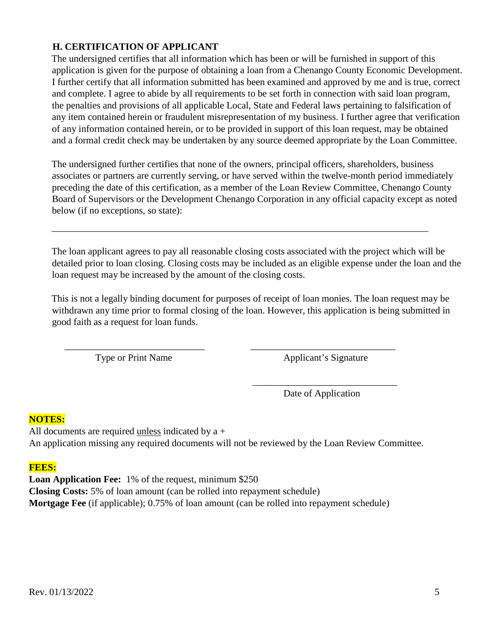## **H. CERTIFICATION OF APPLICANT**

The undersigned certifies that all information which has been or will be furnished in support of this application is given for the purpose of obtaining a loan from a Chenango County Economic Development. I further certify that all information submitted has been examined and approved by me and is true, correct and complete. I agree to abide by all requirements to be set forth in connection with said loan program, the penalties and provisions of all applicable Local, State and Federal laws pertaining to falsification of any item contained herein or fraudulent misrepresentation of my business. I further agree that verification of any information contained herein, or to be provided in support of this loan request, may be obtained and a formal credit check may be undertaken by any source deemed appropriate by the Loan Committee.

The undersigned further certifies that none of the owners, principal officers, shareholders, business associates or partners are currently serving, or have served within the twelve-month period immediately preceding the date of this certification, as a member of the Loan Review Committee, Chenango County Board of Supervisors or the Development Chenango Corporation in any official capacity except as noted below (if no exceptions, so state):

\_\_\_\_\_\_\_\_\_\_\_\_\_\_\_\_\_\_\_\_\_\_\_\_\_\_\_\_\_\_\_\_\_\_\_\_\_\_\_\_\_\_\_\_\_\_\_\_\_\_\_\_\_\_\_\_\_\_\_\_\_\_\_\_\_\_\_\_\_\_\_\_\_\_\_\_\_\_

The loan applicant agrees to pay all reasonable closing costs associated with the project which will be detailed prior to loan closing. Closing costs may be included as an eligible expense under the loan and the loan request may be increased by the amount of the closing costs.

This is not a legally binding document for purposes of receipt of loan monies. The loan request may be withdrawn any time prior to formal closing of the loan. However, this application is being submitted in good faith as a request for loan funds.

 $\frac{1}{\sqrt{2}}$  ,  $\frac{1}{\sqrt{2}}$  ,  $\frac{1}{\sqrt{2}}$  ,  $\frac{1}{\sqrt{2}}$  ,  $\frac{1}{\sqrt{2}}$  ,  $\frac{1}{\sqrt{2}}$  ,  $\frac{1}{\sqrt{2}}$  ,  $\frac{1}{\sqrt{2}}$  ,  $\frac{1}{\sqrt{2}}$  ,  $\frac{1}{\sqrt{2}}$  ,  $\frac{1}{\sqrt{2}}$  ,  $\frac{1}{\sqrt{2}}$  ,  $\frac{1}{\sqrt{2}}$  ,  $\frac{1}{\sqrt{2}}$  ,  $\frac{1}{\sqrt{2}}$ 

Type or Print Name Applicant's Signature

Date of Application

### **NOTES:**

All documents are required unless indicated by a + An application missing any required documents will not be reviewed by the Loan Review Committee.

 $\frac{1}{2}$  ,  $\frac{1}{2}$  ,  $\frac{1}{2}$  ,  $\frac{1}{2}$  ,  $\frac{1}{2}$  ,  $\frac{1}{2}$  ,  $\frac{1}{2}$  ,  $\frac{1}{2}$  ,  $\frac{1}{2}$  ,  $\frac{1}{2}$  ,  $\frac{1}{2}$  ,  $\frac{1}{2}$  ,  $\frac{1}{2}$  ,  $\frac{1}{2}$  ,  $\frac{1}{2}$  ,  $\frac{1}{2}$  ,  $\frac{1}{2}$  ,  $\frac{1}{2}$  ,  $\frac{1$ 

### **FEES:**

**Loan Application Fee:** 1% of the request, minimum \$250 **Closing Costs:** 5% of loan amount (can be rolled into repayment schedule) **Mortgage Fee** (if applicable); 0.75% of loan amount (can be rolled into repayment schedule)